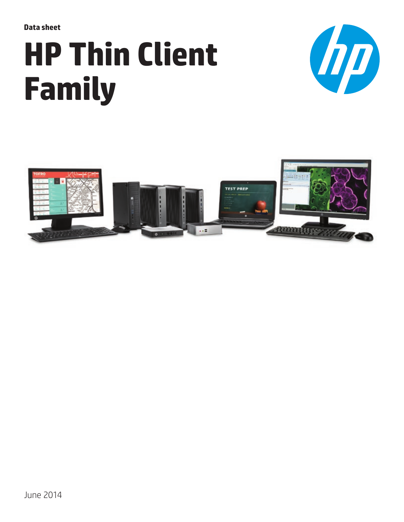**Data sheet**

# **HP Thin Client Family**



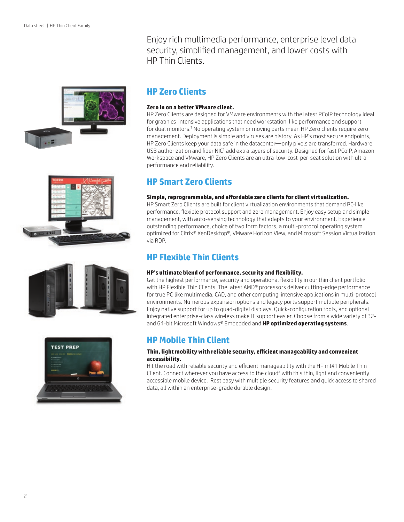







Enjoy rich multimedia performance, enterprise level data security, simplified management, and lower costs with HP Thin Clients.

## **HP Zero Clients**

#### **Zero in on a better VMware client.**

HP Zero Clients are designed for VMware environments with the latest PCoIP technology ideal for graphics-intensive applications that need workstation-like performance and support for dual monitors.<sup>7</sup> No operating system or moving parts mean HP Zero clients require zero management. Deployment is simple and viruses are history. As HP's most secure endpoints, HP Zero Clients keep your data safe in the datacenter—only pixels are transferred. Hardware USB authorization and fiber NIC<sup>1</sup> add extra layers of security. Designed for fast PCoIP, Amazon Workspace and VMware, HP Zero Clients are an ultra-low-cost-per-seat solution with ultra performance and reliability.

## **HP Smart Zero Clients**

#### **Simple, reprogrammable, and affordable zero clients for client virtualization.**

HP Smart Zero Clients are built for client virtualization environments that demand PC-like performance, flexible protocol support and zero management. Enjoy easy setup and simple management, with auto-sensing technology that adapts to your environment. Experience outstanding performance, choice of two form factors, a multi-protocol operating system optimized for Citrix® XenDesktop®, VMware Horizon View, and Microsoft Session Virtualization via RDP.

## **HP Flexible Thin Clients**

#### **HP's ultimate blend of performance, security and flexibility.**

Get the highest performance, security and operational flexibility in our thin client portfolio with HP Flexible Thin Clients. The latest AMD® processors deliver cutting-edge performance for true PC-like multimedia, CAD, and other computing-intensive applications in multi-protocol environments. Numerous expansion options and legacy ports support multiple peripherals. Enjoy native support for up to quad-digital displays. Quick-configuration tools, and optional integrated enterprise-class wireless make IT support easier. Choose from a wide variety of 32 and 64-bit Microsoft Windows® Embedded and **[HP optimized operating systems](http://www.hp.com/go/thinpro)**.

## **HP Mobile Thin Client**

#### **Thin, light mobility with reliable security, efficient manageability and convenient accessibility.**

Hit the road with reliable security and efficient manageability with the HP mt41 Mobile Thin Client. Connect wherever you have access to the cloud<sup>4</sup> with this thin, light and conveniently accessible mobile device. Rest easy with multiple security features and quick access to shared data, all within an enterprise-grade durable design.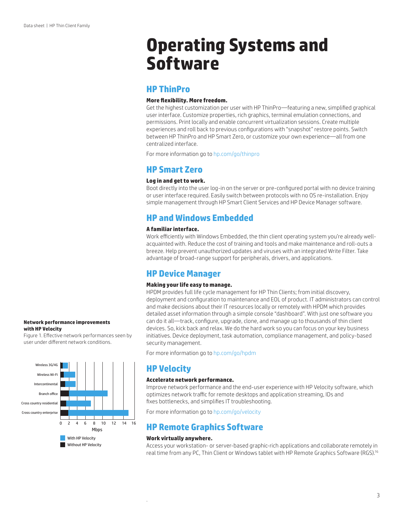## **Operating Systems and Software**

## **HP ThinPro**

#### **More flexibility. More freedom.**

Get the highest customization per user with HP ThinPro—featuring a new, simplified graphical user interface. Customize properties, rich graphics, terminal emulation connections, and permissions. Print locally and enable concurrent virtualization sessions. Create multiple experiences and roll back to previous configurations with "snapshot" restore points. Switch between HP ThinPro and HP Smart Zero, or customize your own experience—all from one centralized interface.

For more information go to [hp.com/go/thinpro](http://www.hp.com/go/thinpro)

### **HP Smart Zero**

#### **Log in and get to work.**

Boot directly into the user log-in on the server or pre-configured portal with no device training or user interface required. Easily switch between protocols with no OS re-installation. Enjoy simple management through HP Smart Client Services and HP Device Manager software.

## **HP and Windows Embedded**

#### **A familiar interface.**

Work efficiently with Windows Embedded, the thin client operating system you're already wellacquainted with. Reduce the cost of training and tools and make maintenance and roll-outs a breeze. Help prevent unauthorized updates and viruses with an integrated Write Filter. Take advantage of broad-range support for peripherals, drivers, and applications.

## **HP Device Manager**

#### **Making your life easy to manage.**

HPDM provides full life cycle management for HP Thin Clients; from initial discovery, deployment and configuration to maintenance and EOL of product. IT administrators can control and make decisions about their IT resources locally or remotely with HPDM which provides detailed asset information through a simple console "dashboard". With just one software you can do it all—track, configure, upgrade, clone, and manage up to thousands of thin client devices. So, kick back and relax. We do the hard work so you can focus on your key business initiatives. Device deployment, task automation, compliance management, and policy-based security management.

For more information go to [hp.com/go/hpdm](http://www.hp.com/go/hpdm)

## **HP Velocity**

#### **Accelerate network performance.**

Improve network performance and the end-user experience with HP Velocity software, which optimizes network traffic for remote desktops and application streaming, IDs and fixes bottlenecks, and simplifies IT troubleshooting.

For more information go to [hp.com/go/velocity](http://www.hp.com/go/velocity) 

## **HP Remote Graphics Software**

#### **Work virtually anywhere.**

.

Access your workstation- or server-based graphic-rich applications and collaborate remotely in real time from any PC, Thin Client or Windows tablet with HP Remote Graphics Software (RGS).16

#### **Network performance improvements with HP Velocity**

Figure 1. Effective network performances seen by user under different network conditions.

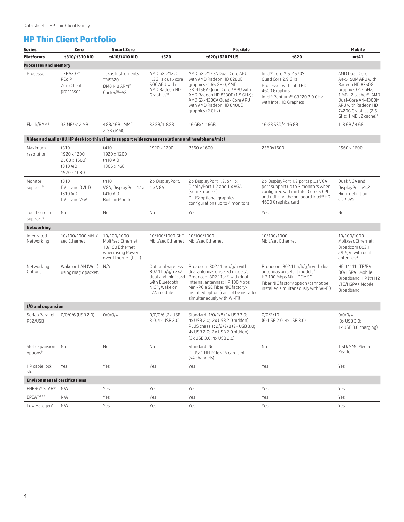## **HP Thin Client Portfolio**

| Series                                 | Zero                                                                       | <b>Smart Zero</b>                                                                              |                                                                                                                            | Mobile                                                                                                                                                                                                                                                                 |                                                                                                                                                                                        |                                                                                                                                                                                                                           |  |  |  |
|----------------------------------------|----------------------------------------------------------------------------|------------------------------------------------------------------------------------------------|----------------------------------------------------------------------------------------------------------------------------|------------------------------------------------------------------------------------------------------------------------------------------------------------------------------------------------------------------------------------------------------------------------|----------------------------------------------------------------------------------------------------------------------------------------------------------------------------------------|---------------------------------------------------------------------------------------------------------------------------------------------------------------------------------------------------------------------------|--|--|--|
| <b>Platforms</b>                       | t310/t310 AiO                                                              | t410/t410 AiO                                                                                  | t520                                                                                                                       | t620/t620 PLUS                                                                                                                                                                                                                                                         | t820                                                                                                                                                                                   | mt41                                                                                                                                                                                                                      |  |  |  |
| <b>Processor and memory</b>            |                                                                            |                                                                                                |                                                                                                                            |                                                                                                                                                                                                                                                                        |                                                                                                                                                                                        |                                                                                                                                                                                                                           |  |  |  |
| Processor                              | <b>TERA2321</b><br>PCoIP<br>Zero Client<br>processor                       | Texas Instruments<br><b>TMS320</b><br>DM8148 ARM®<br>Cortex™-A8                                | AMD GX-212JC<br>1.2GHz dual-core<br>SOC APU with<br>AMD Radeon HD<br>Graphics <sup>11</sup>                                | AMD GX-217GA Dual-Core APU<br>with AMD Radeon HD 8280E<br>graphics (1.65 GHz); AMD<br>GX-415GA Quad-Core <sup>12</sup> APU with<br>AMD Radeon HD 8330E (1.5 GHz);<br>AMD GX-420CA Quad- Core APU<br>with AMD Radeon HD 8400E<br>graphics (2 GHz)                       | Intel® Core™ i5-4570S<br>Quad Core 2.9 GHz<br>Processor with Intel HD<br>4600 Graphics<br>Intel® Pentium™ G3220 3.0 GHz<br>with Intel HD Graphics                                      | AMD Dual-Core<br>A4-5150M APU with<br>Radeon HD 8350G<br>Graphics (2.7 GHz;<br>1 MB L2 cache) <sup>11</sup> ; AMD<br>Dual-Core A4-4300M<br>APU with Radeon HD<br>7420G Graphics (2.5<br>GHz; 1 MB L2 cache) <sup>11</sup> |  |  |  |
| Flash/RAM <sup>3</sup>                 | 32 MB/512 MB                                                               | 4GB/1GB eMMC<br>2 GB eMMC                                                                      | 32GB/4-8GB                                                                                                                 | 16 GB/4-16GB                                                                                                                                                                                                                                                           | 16 GB SSD/4-16 GB                                                                                                                                                                      | $1 - 8$ GB / 4 GB                                                                                                                                                                                                         |  |  |  |
|                                        |                                                                            | Video and audio (All HP desktop thin clients support widescreen resolutions and headphone/mic) |                                                                                                                            |                                                                                                                                                                                                                                                                        |                                                                                                                                                                                        |                                                                                                                                                                                                                           |  |  |  |
| Maximum<br>resolution <sup>7</sup>     | t310<br>1920 x 1200<br>2560 x 1600 <sup>5</sup><br>t310 AiO<br>1920 x 1080 | t410<br>1920 x 1200<br>t410 AiO<br>1366 x 768                                                  | 1920 x 1200                                                                                                                | 2560 x 1600                                                                                                                                                                                                                                                            | 2560x1600                                                                                                                                                                              | 2560 x 1600                                                                                                                                                                                                               |  |  |  |
| Monitor<br>support <sup>6</sup>        | t310<br>DVI-I and DVI-D<br>t310 AiO<br>DVI-I and VGA                       | t410<br>VGA, DisplayPort 1.1a<br>t410 AiO<br><b>Built-in Monitor</b>                           | 2 x DisplayPort.<br>$1 \times VGA$                                                                                         | 2 x DisplayPort 1.2, or 1 x<br>DisplayPort 1.2 and 1 x VGA<br>(some models)<br>PLUS: optional graphics<br>configurations up to 4 monitors                                                                                                                              | 2 x DisplayPort 1.2 ports plus VGA<br>port support up to 3 monitors when<br>configured with an Intel Core i5 CPU<br>and utilizing the on-board Intel® HD<br>4600 Graphics card.        | Dual: VGA and<br>DisplayPort v1.2<br>High-definition<br>displays                                                                                                                                                          |  |  |  |
| Touchscreen<br>support <sup>8</sup>    | No                                                                         | No                                                                                             | No                                                                                                                         | Yes                                                                                                                                                                                                                                                                    | Yes                                                                                                                                                                                    | No                                                                                                                                                                                                                        |  |  |  |
| <b>Networking</b>                      |                                                                            |                                                                                                |                                                                                                                            |                                                                                                                                                                                                                                                                        |                                                                                                                                                                                        |                                                                                                                                                                                                                           |  |  |  |
| Integrated<br>Networking               | 10/100/1000 Mbit/<br>sec Ethernet                                          | 10/100/1000<br>Mbit/sec Ethernet<br>10/100 Ethernet<br>when using Power<br>over Ethernet (POE) | 10/100/1000 GbE<br>Mbit/sec Ethernet    Mbit/sec Ethernet                                                                  | 10/100/1000                                                                                                                                                                                                                                                            | 10/100/1000<br>Mbit/sec Ethernet                                                                                                                                                       | 10/100/1000<br>Mbit/sec Ethernet:<br>Broadcom 802.11<br>a/b/g/n with dual<br>antennas <sup>4</sup>                                                                                                                        |  |  |  |
| Networking<br>Options                  | Wake on LAN (WoL)<br>using magic packet.                                   | N/A                                                                                            | Optional wireless<br>802.11 a/g/n 2x2<br>dual and mini card<br>with Bluetooth<br>NIC <sup>13</sup> , Wake on<br>LAN module | Broadcom 802.11 a/b/g/n with<br>dual antennas on select models <sup>4</sup> ;<br>Broadcom 802.11ac <sup>13</sup> with dual<br>internal antennas: HP 100 Mbps<br>Mini-PCIe SC Fiber NIC factory-<br>installed option (cannot be installed<br>simultaneously with Wi-Fi) | Broadcom 802.11 a/b/g/n with dual<br>antennas on select models <sup>4</sup><br>HP 100 Mbps Mini-PCIe SC<br>Fiber NIC factory option (cannot be<br>installed simultaneously with Wi-Fi) | HP lt4111 LTE/EV-<br>DO/HSPA+ Mobile<br>Broadband; HP lt4112<br>LTE/HSPA+ Mobile<br>Broadband                                                                                                                             |  |  |  |
| I/O and expansion                      |                                                                            |                                                                                                |                                                                                                                            |                                                                                                                                                                                                                                                                        |                                                                                                                                                                                        |                                                                                                                                                                                                                           |  |  |  |
| Serial/Parallel<br>PS2/USB             | $0/0/0/6$ (USB 2.0)                                                        | 0/0/0/4                                                                                        | 0/0/0/6 (2x USB<br>3.0, 4x USB 2.0)                                                                                        | Standard: 1/0/2/8 (2x USB 3.0;<br>4x USB 2.0; 2x USB 2.0 hidden)<br>PLUS chassis: 2/2/2/8 (2x USB 3.0;<br>4x USB 2.0; 2x USB 2.0 hidden)<br>(2x USB 3.0; 4x USB 2.0)                                                                                                   | 0/0/2/10<br>(6xUSB 2.0, 4xUSB 3.0)                                                                                                                                                     | 0/0/0/4<br>$(3 \times$ USB 3.0;<br>1x USB 3.0 charging)                                                                                                                                                                   |  |  |  |
| Slot expansion<br>options <sup>9</sup> | No                                                                         | No                                                                                             | No                                                                                                                         | Standard: No<br>No<br>PLUS: 1 HH PCIe x16 card slot<br>(x4 channels)                                                                                                                                                                                                   |                                                                                                                                                                                        | 1 SD/MMC Media<br>Reader                                                                                                                                                                                                  |  |  |  |
| HP cable lock<br>slot                  | Yes                                                                        | Yes                                                                                            | Yes                                                                                                                        | Yes                                                                                                                                                                                                                                                                    | Yes                                                                                                                                                                                    | Yes                                                                                                                                                                                                                       |  |  |  |
| <b>Environmental certifications</b>    |                                                                            |                                                                                                |                                                                                                                            |                                                                                                                                                                                                                                                                        |                                                                                                                                                                                        |                                                                                                                                                                                                                           |  |  |  |
| ENERGY STAR®                           | N/A                                                                        | Yes                                                                                            | Yes                                                                                                                        | Yes                                                                                                                                                                                                                                                                    | Yes                                                                                                                                                                                    | Yes                                                                                                                                                                                                                       |  |  |  |
| EPEAT®10                               | N/A                                                                        | Yes                                                                                            | Yes                                                                                                                        | Yes                                                                                                                                                                                                                                                                    | Yes                                                                                                                                                                                    | Yes                                                                                                                                                                                                                       |  |  |  |
| Low Halogen*                           | N/A                                                                        | Yes                                                                                            | Yes                                                                                                                        | Yes                                                                                                                                                                                                                                                                    | Yes                                                                                                                                                                                    | Yes                                                                                                                                                                                                                       |  |  |  |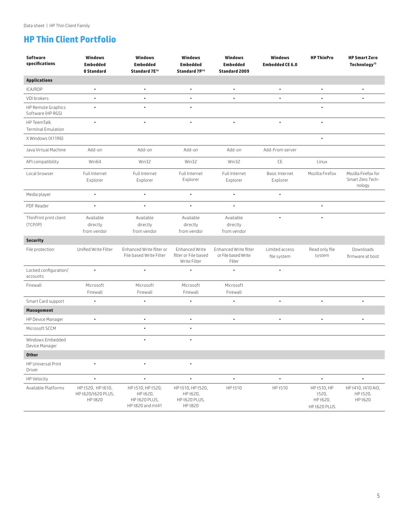## **HP Thin Client Portfolio**

| <b>Software</b><br>specifications              | <b>Windows</b><br><b>Embedded</b>                  | <b>Windows</b><br><b>Embedded</b>                                  | <b>Windows</b><br><b>Embedded</b>                         | <b>Windows</b><br><b>Embedded</b>                      | <b>Windows</b><br><b>Embedded CE 6.0</b> | <b>HP ThinPro</b>                                | <b>HP Smart Zero</b><br>Technology <sup>15</sup>  |
|------------------------------------------------|----------------------------------------------------|--------------------------------------------------------------------|-----------------------------------------------------------|--------------------------------------------------------|------------------------------------------|--------------------------------------------------|---------------------------------------------------|
|                                                | 8 Standard                                         | Standard 7E <sup>14</sup>                                          | Standard 7P <sup>14</sup>                                 | <b>Standard 2009</b>                                   |                                          |                                                  |                                                   |
| <b>Applications</b>                            |                                                    |                                                                    |                                                           |                                                        |                                          |                                                  |                                                   |
| ICA/RDP                                        | $\bullet$                                          | $\bullet$                                                          | $\bullet$                                                 | ٠                                                      | $\bullet$                                | $\bullet$                                        | $\bullet$                                         |
| VDI brokers                                    |                                                    |                                                                    |                                                           |                                                        |                                          |                                                  |                                                   |
| <b>HP Remote Graphics</b><br>Software (HP RGS) | $\bullet$                                          | $\bullet$                                                          | $\bullet$                                                 |                                                        |                                          |                                                  |                                                   |
| HP TeemTalk<br><b>Terminal Emulation</b>       | ٠                                                  | ٠                                                                  | $\bullet$                                                 | $\bullet$                                              |                                          | $\bullet$                                        |                                                   |
| X Windows (X11R6)                              |                                                    |                                                                    |                                                           |                                                        |                                          | $\bullet$                                        |                                                   |
| Java Virtual Machine                           | Add-on                                             | Add-on                                                             | Add-on                                                    | Add-on                                                 | Add-From server                          |                                                  |                                                   |
| API compatibility                              | Win64                                              | Win32                                                              | Win32                                                     | Win32                                                  | CE                                       | Linux                                            |                                                   |
| Local browser                                  | Full Internet<br>Explorer                          | Full Internet<br>Explorer                                          | Full Internet<br>Explorer                                 | Full Internet<br>Explorer                              | <b>Basic Internet</b><br>Explorer        | Mozilla Firefox                                  | Mozilla Firefox for<br>Smart Zero Tech-<br>nology |
| Media player                                   | $\bullet$                                          | $\bullet$                                                          | $\bullet$                                                 | $\bullet$                                              | $\bullet$                                |                                                  |                                                   |
| PDF Reader                                     | $\bullet$                                          | ٠                                                                  | $\bullet$                                                 | $\bullet$                                              |                                          | $\bullet$                                        |                                                   |
| ThinPrint print client<br>(TCP/IP)             | Available<br>directly<br>from vendor               | Available<br>directly<br>from vendor                               | Available<br>directly<br>from vendor                      | Available<br>directly<br>from vendor                   |                                          |                                                  |                                                   |
| <b>Security</b>                                |                                                    |                                                                    |                                                           |                                                        |                                          |                                                  |                                                   |
| File protection                                | Unified Write Filter                               | Enhanced Write filter or<br>File based Write Filter                | Enhanced Write<br>filter or File based<br>Write Filter    | Enhanced Write filter<br>or File based Write<br>Filter | Limited access<br>file system            | Read only file<br>system                         | Downloads<br>firmware at boot                     |
| Locked configuration/<br>accounts              | $\bullet$                                          | $\bullet$                                                          |                                                           |                                                        | $\bullet$                                |                                                  |                                                   |
| Firewall                                       | Microsoft<br>Firewall                              | Microsoft<br>Firewall                                              | Microsoft<br>Firewall                                     | Microsoft<br>Firewall                                  |                                          |                                                  |                                                   |
| Smart Card support                             | $\bullet$                                          | ٠                                                                  | ٠                                                         | $\bullet$                                              | $\bullet$                                | $\bullet$                                        |                                                   |
| <b>Management</b>                              |                                                    |                                                                    |                                                           |                                                        |                                          |                                                  |                                                   |
| HP Device Manager                              |                                                    | $\bullet$                                                          | ٠                                                         | $\bullet$                                              | $\bullet$                                |                                                  |                                                   |
| Microsoft SCCM                                 |                                                    | $\bullet$                                                          |                                                           |                                                        |                                          |                                                  |                                                   |
| Windows Embedded<br>Device Manager             |                                                    |                                                                    |                                                           |                                                        |                                          |                                                  |                                                   |
| <b>Other</b>                                   |                                                    |                                                                    |                                                           |                                                        |                                          |                                                  |                                                   |
| HP Universal Print<br>Driver                   |                                                    | $\bullet$                                                          | $\bullet$                                                 |                                                        |                                          |                                                  |                                                   |
| HP Velocity                                    |                                                    | $\bullet$                                                          |                                                           | $\bullet$                                              |                                          | $\bullet$                                        |                                                   |
| Available Platforms                            | HP t520, HP t610,<br>HP t620/t620 PLUS,<br>HP t820 | HP t510, HP t520,<br>HP t620,<br>HP t620 PLUS,<br>HP t820 and mt41 | HP t510, HP t520,<br>HP t620,<br>HP t620 PLUS,<br>HP t820 | HP t510                                                | HP t510                                  | HP t510, HP<br>t520,<br>HP t620,<br>HP t620 PLUS | HP t410, t410 AiO,<br>HP t520,<br>HP t620         |